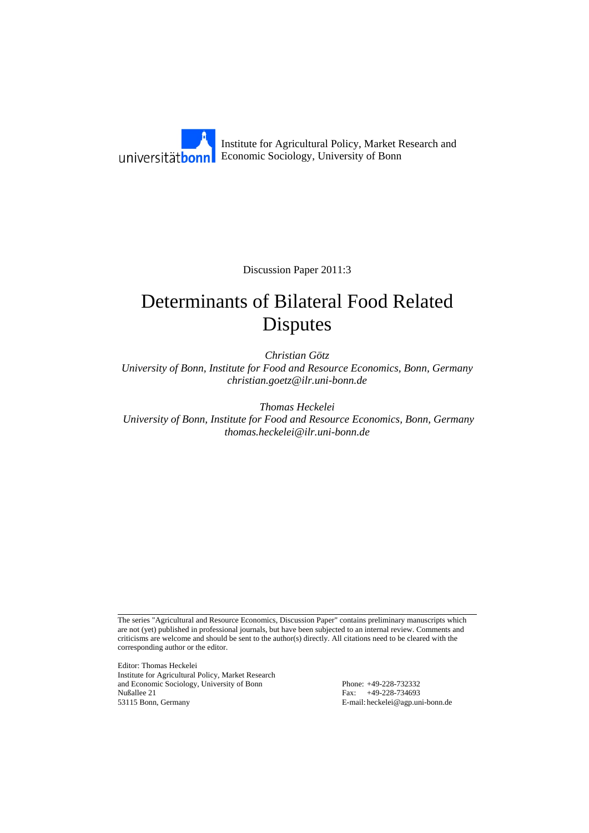Institute for Agricultural Policy, Market Research and Economic Sociology, University of Bonn

Discussion Paper 2011:3

# Determinants of Bilateral Food Related Disputes

*Christian Götz University of Bonn, Institute for Food and Resource Economics, Bonn, Germany christian.goetz@ilr.uni-bonn.de* 

*Thomas Heckelei University of Bonn, Institute for Food and Resource Economics, Bonn, Germany thomas.heckelei@ilr.uni-bonn.de* 

The series "Agricultural and Resource Economics, Discussion Paper" contains preliminary manuscripts which are not (yet) published in professional journals, but have been subjected to an internal review. Comments and criticisms are welcome and should be sent to the author(s) directly. All citations need to be cleared with the corresponding author or the editor.

Editor: Thomas Heckelei Institute for Agricultural Policy, Market Research and Economic Sociology, University of Bonn Phone: +49-228-732332 Nußallee 21 Fax: +49-228-734693<br>53115 Bonn, Germany Fax: +49-228-734693<br>E-mail: heckelei@agp.ur

E-mail: heckelei@agp.uni-bonn.de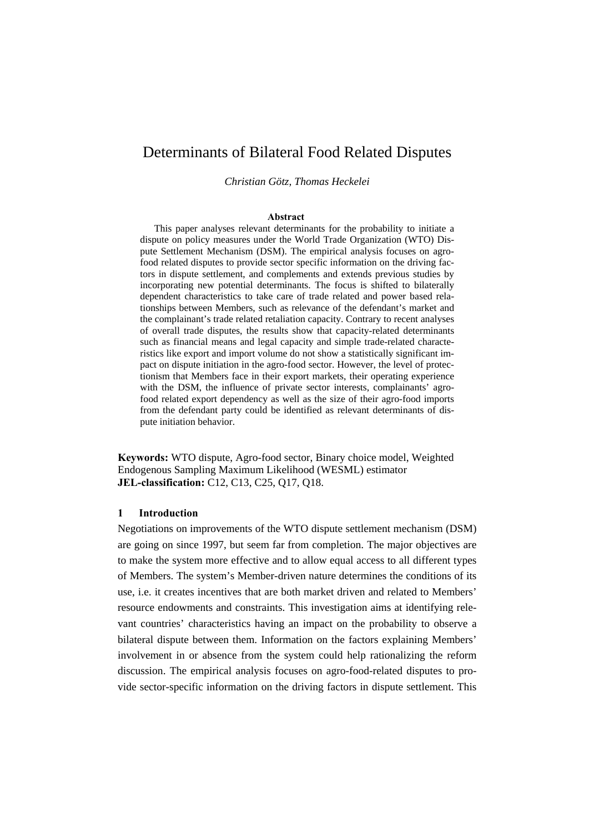# Determinants of Bilateral Food Related Disputes

*Christian Götz, Thomas Heckelei* 

#### **Abstract**

This paper analyses relevant determinants for the probability to initiate a dispute on policy measures under the World Trade Organization (WTO) Dispute Settlement Mechanism (DSM). The empirical analysis focuses on agrofood related disputes to provide sector specific information on the driving factors in dispute settlement, and complements and extends previous studies by incorporating new potential determinants. The focus is shifted to bilaterally dependent characteristics to take care of trade related and power based relationships between Members, such as relevance of the defendant's market and the complainant's trade related retaliation capacity. Contrary to recent analyses of overall trade disputes, the results show that capacity-related determinants such as financial means and legal capacity and simple trade-related characteristics like export and import volume do not show a statistically significant impact on dispute initiation in the agro-food sector. However, the level of protectionism that Members face in their export markets, their operating experience with the DSM, the influence of private sector interests, complainants' agrofood related export dependency as well as the size of their agro-food imports from the defendant party could be identified as relevant determinants of dispute initiation behavior.

**Keywords:** WTO dispute, Agro-food sector, Binary choice model, Weighted Endogenous Sampling Maximum Likelihood (WESML) estimator **JEL-classification:** C12, C13, C25, Q17, Q18.

#### **1 Introduction**

Negotiations on improvements of the WTO dispute settlement mechanism (DSM) are going on since 1997, but seem far from completion. The major objectives are to make the system more effective and to allow equal access to all different types of Members. The system's Member-driven nature determines the conditions of its use, i.e. it creates incentives that are both market driven and related to Members' resource endowments and constraints. This investigation aims at identifying relevant countries' characteristics having an impact on the probability to observe a bilateral dispute between them. Information on the factors explaining Members' involvement in or absence from the system could help rationalizing the reform discussion. The empirical analysis focuses on agro-food-related disputes to provide sector-specific information on the driving factors in dispute settlement. This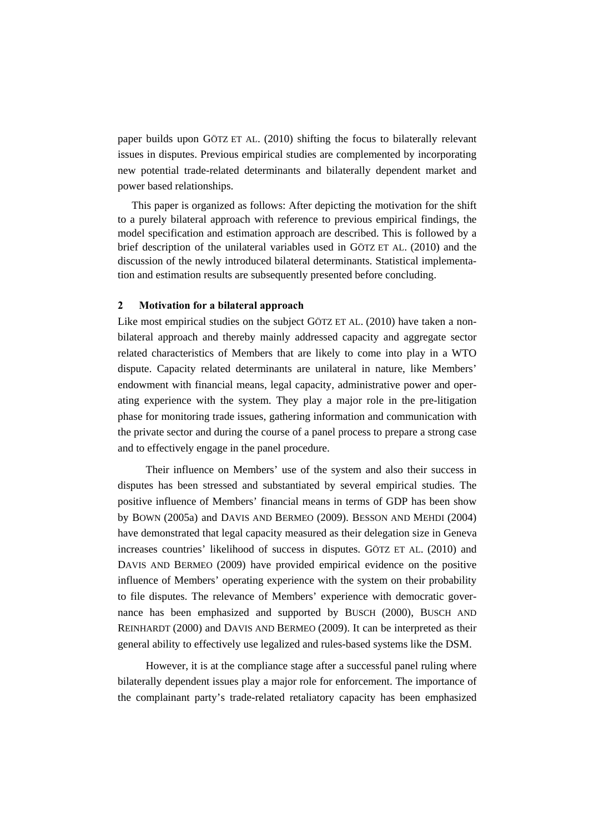paper builds upon GÖTZ ET AL. (2010) shifting the focus to bilaterally relevant issues in disputes. Previous empirical studies are complemented by incorporating new potential trade-related determinants and bilaterally dependent market and power based relationships.

This paper is organized as follows: After depicting the motivation for the shift to a purely bilateral approach with reference to previous empirical findings, the model specification and estimation approach are described. This is followed by a brief description of the unilateral variables used in GÖTZ ET AL. (2010) and the discussion of the newly introduced bilateral determinants. Statistical implementation and estimation results are subsequently presented before concluding.

#### **2 Motivation for a bilateral approach**

Like most empirical studies on the subject GÖTZ ET AL. (2010) have taken a nonbilateral approach and thereby mainly addressed capacity and aggregate sector related characteristics of Members that are likely to come into play in a WTO dispute. Capacity related determinants are unilateral in nature, like Members' endowment with financial means, legal capacity, administrative power and operating experience with the system. They play a major role in the pre-litigation phase for monitoring trade issues, gathering information and communication with the private sector and during the course of a panel process to prepare a strong case and to effectively engage in the panel procedure.

Their influence on Members' use of the system and also their success in disputes has been stressed and substantiated by several empirical studies. The positive influence of Members' financial means in terms of GDP has been show by BOWN (2005a) and DAVIS AND BERMEO (2009). BESSON AND MEHDI (2004) have demonstrated that legal capacity measured as their delegation size in Geneva increases countries' likelihood of success in disputes. GÖTZ ET AL. (2010) and DAVIS AND BERMEO (2009) have provided empirical evidence on the positive influence of Members' operating experience with the system on their probability to file disputes. The relevance of Members' experience with democratic governance has been emphasized and supported by BUSCH (2000), BUSCH AND REINHARDT (2000) and DAVIS AND BERMEO (2009). It can be interpreted as their general ability to effectively use legalized and rules-based systems like the DSM.

However, it is at the compliance stage after a successful panel ruling where bilaterally dependent issues play a major role for enforcement. The importance of the complainant party's trade-related retaliatory capacity has been emphasized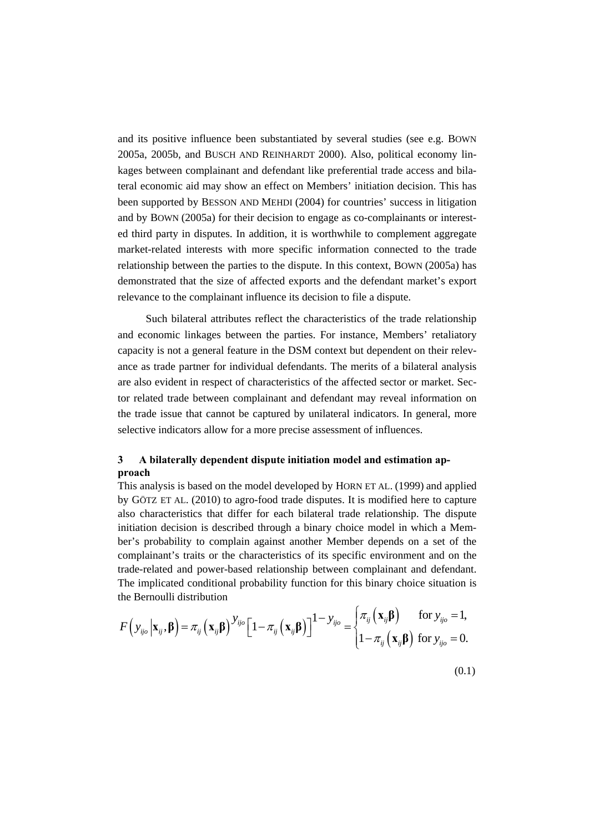and its positive influence been substantiated by several studies (see e.g. BOWN 2005a, 2005b, and BUSCH AND REINHARDT 2000). Also, political economy linkages between complainant and defendant like preferential trade access and bilateral economic aid may show an effect on Members' initiation decision. This has been supported by BESSON AND MEHDI (2004) for countries' success in litigation and by BOWN (2005a) for their decision to engage as co-complainants or interested third party in disputes. In addition, it is worthwhile to complement aggregate market-related interests with more specific information connected to the trade relationship between the parties to the dispute. In this context, BOWN (2005a) has demonstrated that the size of affected exports and the defendant market's export relevance to the complainant influence its decision to file a dispute.

Such bilateral attributes reflect the characteristics of the trade relationship and economic linkages between the parties. For instance, Members' retaliatory capacity is not a general feature in the DSM context but dependent on their relevance as trade partner for individual defendants. The merits of a bilateral analysis are also evident in respect of characteristics of the affected sector or market. Sector related trade between complainant and defendant may reveal information on the trade issue that cannot be captured by unilateral indicators. In general, more selective indicators allow for a more precise assessment of influences.

# **3 A bilaterally dependent dispute initiation model and estimation approach**

This analysis is based on the model developed by HORN ET AL. (1999) and applied by GÖTZ ET AL. (2010) to agro-food trade disputes. It is modified here to capture also characteristics that differ for each bilateral trade relationship. The dispute initiation decision is described through a binary choice model in which a Member's probability to complain against another Member depends on a set of the complainant's traits or the characteristics of its specific environment and on the trade-related and power-based relationship between complainant and defendant. The implicated conditional probability function for this binary choice situation is the Bernoulli distribution

$$
F\left(y_{ijo}|\mathbf{x}_{ij},\boldsymbol{\beta}\right)=\pi_{ij}\left(\mathbf{x}_{ij}\boldsymbol{\beta}\right)^{y_{ijo}}\left[1-\pi_{ij}\left(\mathbf{x}_{ij}\boldsymbol{\beta}\right)\right]^{1-y_{ijo}}=\begin{cases}\pi_{ij}\left(\mathbf{x}_{ij}\boldsymbol{\beta}\right) & \text{for } y_{ijo}=1,\\1-\pi_{ij}\left(\mathbf{x}_{ij}\boldsymbol{\beta}\right) & \text{for } y_{ijo}=0.\end{cases}
$$

(0.1)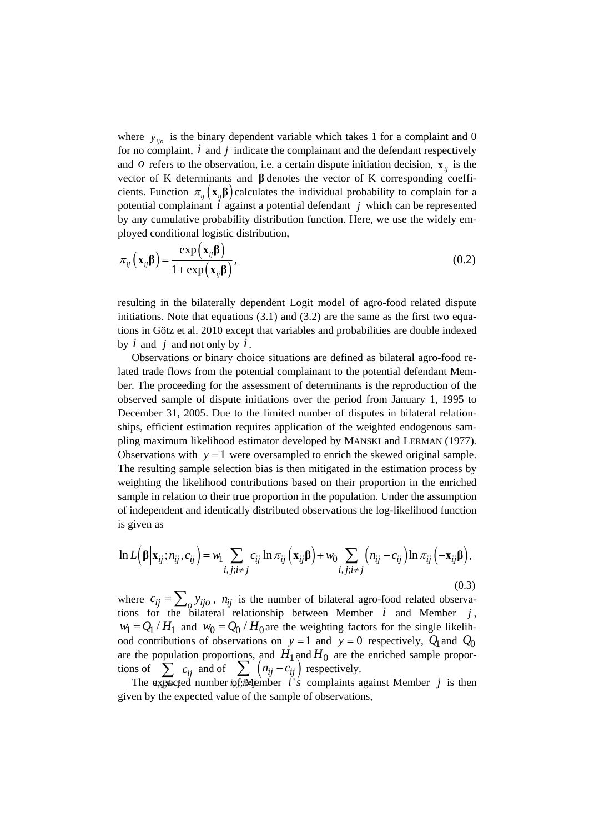where  $y_{jio}$  is the binary dependent variable which takes 1 for a complaint and 0 for no complaint, *i* and *j* indicate the complainant and the defendant respectively and *o* refers to the observation, i.e. a certain dispute initiation decision,  $\mathbf{x}_{ii}$  is the vector of K determinants and **β** denotes the vector of K corresponding coefficients. Function  $\pi_{ii}(\mathbf{x}_{ii}\mathbf{\beta})$  calculates the individual probability to complain for a potential complainant *i* against a potential defendant *j* which can be represented by any cumulative probability distribution function. Here, we use the widely employed conditional logistic distribution,

$$
\pi_{ij} \left( \mathbf{x}_{ij} \boldsymbol{\beta} \right) = \frac{\exp \left( \mathbf{x}_{ij} \boldsymbol{\beta} \right)}{1 + \exp \left( \mathbf{x}_{ij} \boldsymbol{\beta} \right)},
$$
\n(0.2)

resulting in the bilaterally dependent Logit model of agro-food related dispute initiations. Note that equations  $(3.1)$  and  $(3.2)$  are the same as the first two equations in Götz et al. 2010 except that variables and probabilities are double indexed by *i* and *j* and not only by *i*.

Observations or binary choice situations are defined as bilateral agro-food related trade flows from the potential complainant to the potential defendant Member. The proceeding for the assessment of determinants is the reproduction of the observed sample of dispute initiations over the period from January 1, 1995 to December 31, 2005. Due to the limited number of disputes in bilateral relationships, efficient estimation requires application of the weighted endogenous sampling maximum likelihood estimator developed by MANSKI and LERMAN (1977). Observations with  $y = 1$  were oversampled to enrich the skewed original sample. The resulting sample selection bias is then mitigated in the estimation process by weighting the likelihood contributions based on their proportion in the enriched sample in relation to their true proportion in the population. Under the assumption of independent and identically distributed observations the log-likelihood function is given as

$$
\ln L(\beta | \mathbf{x}_{ij}; n_{ij}, c_{ij}) = w_1 \sum_{i, j; i \neq j} c_{ij} \ln \pi_{ij} (\mathbf{x}_{ij} \beta) + w_0 \sum_{i, j; i \neq j} (n_{ij} - c_{ij}) \ln \pi_{ij} (-\mathbf{x}_{ij} \beta),
$$
\n(0.3)

where  $c_{ij} = \sum_{o} y_{ijo}$ ,  $n_{ij}$  is the number of bilateral agro-food related observations for the bilateral relationship between Member  $i$  and Member  $j$ ,  $w_1 = Q_1 / H_1$  and  $w_0 = Q_0 / H_0$  are the weighting factors for the single likelihood contributions of observations on  $y = 1$  and  $y = 0$  respectively,  $Q_1$  and  $Q_0$ are the population proportions, and  $H_1$  and  $H_0$  are the enriched sample proportions of *ij c*  $\sum c_{ij}$  and of  $\sum (n_{ij} - c_{ij})$  $\delta_{ij} - c_{ij}$  $n_{ii} - c$  $\sum_{i}^{\infty} \left( n_{ij} - c_{ij} \right)$  respectively.

хp *i ji j* ≠ of; *i ji j* ≠ The expected number *is*, Member  $i's$  complaints against Member *j* is then given by the expected value of the sample of observations,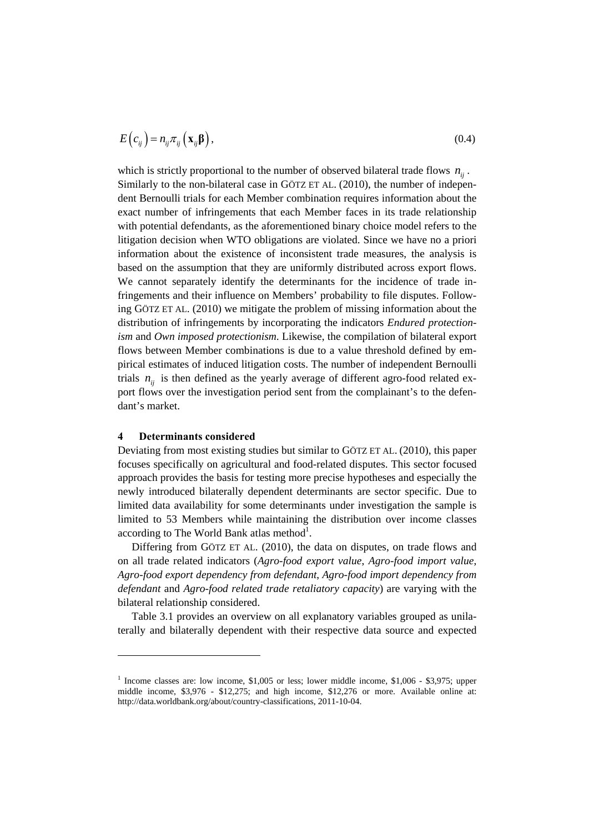$$
E\left(c_{ij}\right) = n_{ij}\pi_{ij}\left(\mathbf{x}_{ij}\mathbf{\beta}\right),\tag{0.4}
$$

which is strictly proportional to the number of observed bilateral trade flows  $n_{ii}$ . Similarly to the non-bilateral case in GÖTZ ET AL. (2010), the number of independent Bernoulli trials for each Member combination requires information about the exact number of infringements that each Member faces in its trade relationship with potential defendants, as the aforementioned binary choice model refers to the litigation decision when WTO obligations are violated. Since we have no a priori information about the existence of inconsistent trade measures, the analysis is based on the assumption that they are uniformly distributed across export flows. We cannot separately identify the determinants for the incidence of trade infringements and their influence on Members' probability to file disputes. Following GÖTZ ET AL. (2010) we mitigate the problem of missing information about the distribution of infringements by incorporating the indicators *Endured protectionism* and *Own imposed protectionism*. Likewise, the compilation of bilateral export flows between Member combinations is due to a value threshold defined by empirical estimates of induced litigation costs. The number of independent Bernoulli trials  $n_{ij}$  is then defined as the yearly average of different agro-food related export flows over the investigation period sent from the complainant's to the defendant's market.

#### **4 Determinants considered**

 $\overline{a}$ 

Deviating from most existing studies but similar to GÖTZ ET AL. (2010), this paper focuses specifically on agricultural and food-related disputes. This sector focused approach provides the basis for testing more precise hypotheses and especially the newly introduced bilaterally dependent determinants are sector specific. Due to limited data availability for some determinants under investigation the sample is limited to 53 Members while maintaining the distribution over income classes according to The World Bank atlas method<sup>1</sup>.

Differing from GÖTZ ET AL. (2010), the data on disputes, on trade flows and on all trade related indicators (*Agro-food export value*, *Agro-food import value*, *Agro-food export dependency from defendant*, *Agro-food import dependency from defendant* and *Agro-food related trade retaliatory capacity*) are varying with the bilateral relationship considered.

Table 3.1 provides an overview on all explanatory variables grouped as unilaterally and bilaterally dependent with their respective data source and expected

<sup>&</sup>lt;sup>1</sup> Income classes are: low income,  $$1,005$  or less; lower middle income,  $$1,006$  -  $$3,975$ ; upper middle income, \$3,976 - \$12,275; and high income, \$12,276 or more. Available online at: http://data.worldbank.org/about/country-classifications, 2011-10-04.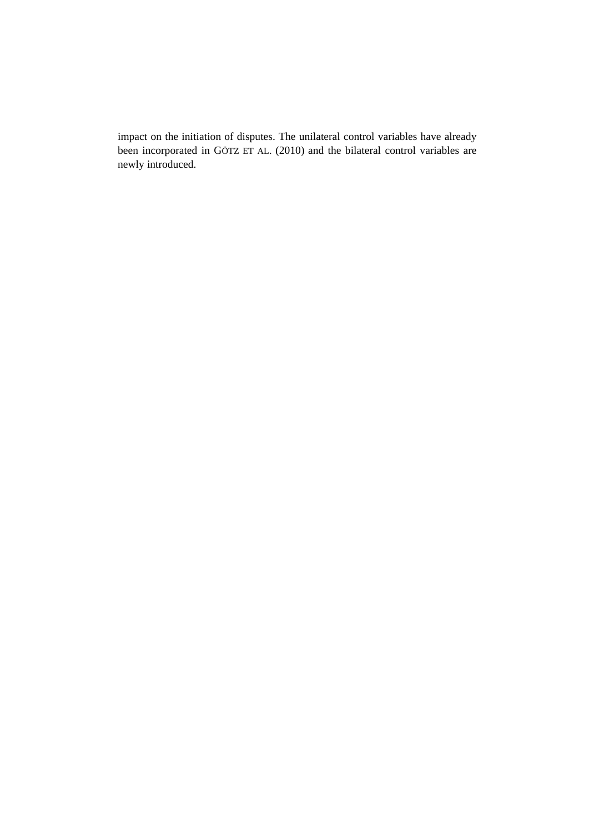impact on the initiation of disputes. The unilateral control variables have already been incorporated in GÖTZ ET AL. (2010) and the bilateral control variables are newly introduced.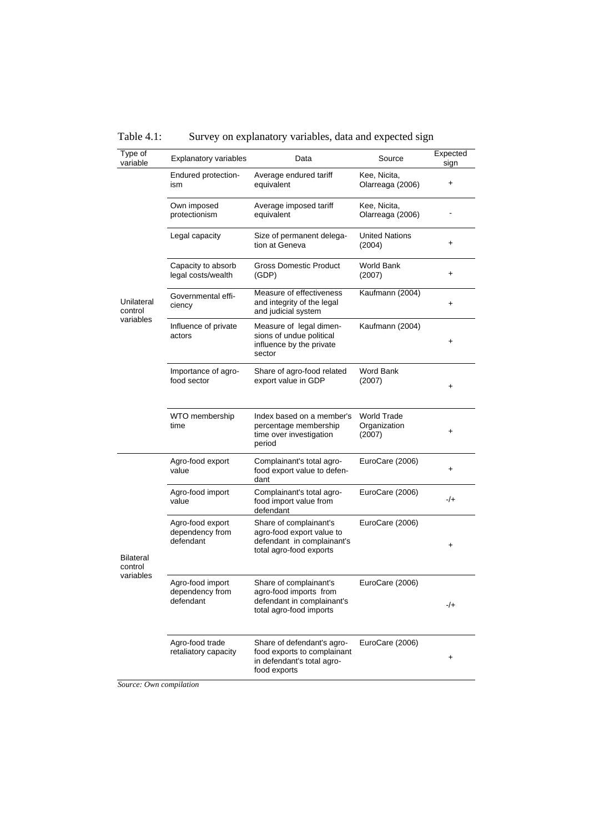Table 4.1: Survey on explanatory variables, data and expected sign

| Type of<br>variable                      | Explanatory variables                            | Data                                                                                                         | Source                                       | Expected<br>sign |
|------------------------------------------|--------------------------------------------------|--------------------------------------------------------------------------------------------------------------|----------------------------------------------|------------------|
| Unilateral<br>control<br>variables       | Endured protection-<br>ism                       | Average endured tariff<br>equivalent                                                                         | Kee, Nicita,<br>Olarreaga (2006)             | +                |
|                                          | Own imposed<br>protectionism                     | Average imposed tariff<br>equivalent                                                                         | Kee, Nicita,<br>Olarreaga (2006)             |                  |
|                                          | Legal capacity                                   | Size of permanent delega-<br>tion at Geneva                                                                  | <b>United Nations</b><br>(2004)              | $\ddot{}$        |
|                                          | Capacity to absorb<br>legal costs/wealth         | Gross Domestic Product<br>(GDP)                                                                              | <b>World Bank</b><br>(2007)                  | $\ddot{}$        |
|                                          | Governmental effi-<br>ciency                     | Measure of effectiveness<br>and integrity of the legal<br>and judicial system                                | Kaufmann (2004)                              | +                |
|                                          | Influence of private<br>actors                   | Measure of legal dimen-<br>sions of undue political<br>influence by the private<br>sector                    | Kaufmann (2004)                              | $\ddot{}$        |
|                                          | Importance of agro-<br>food sector               | Share of agro-food related<br>export value in GDP                                                            | Word Bank<br>(2007)                          | $\ddot{}$        |
|                                          | WTO membership<br>time                           | Index based on a member's<br>percentage membership<br>time over investigation<br>period                      | <b>World Trade</b><br>Organization<br>(2007) | +                |
| <b>Bilateral</b><br>control<br>variables | Agro-food export<br>value                        | Complainant's total agro-<br>food export value to defen-<br>dant                                             | EuroCare (2006)                              | $\ddot{}$        |
|                                          | Agro-food import<br>value                        | Complainant's total agro-<br>food import value from<br>defendant                                             | EuroCare (2006)                              | $-/+$            |
|                                          | Agro-food export<br>dependency from<br>defendant | Share of complainant's<br>agro-food export value to<br>defendant in complainant's<br>total agro-food exports | EuroCare (2006)                              | +                |
|                                          | Agro-food import<br>dependency from<br>defendant | Share of complainant's<br>agro-food imports from<br>defendant in complainant's<br>total agro-food imports    | EuroCare (2006)                              | -/+              |
|                                          | Agro-food trade<br>retaliatory capacity          | Share of defendant's agro-<br>food exports to complainant<br>in defendant's total agro-<br>food exports      | EuroCare (2006)                              | +                |

*Source: Own compilation*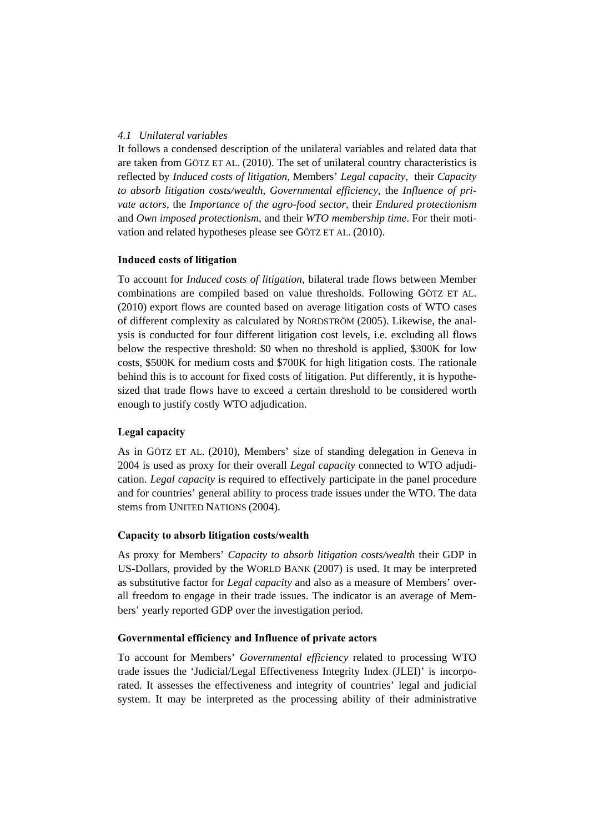# *4.1 Unilateral variables*

It follows a condensed description of the unilateral variables and related data that are taken from GÖTZ ET AL. (2010). The set of unilateral country characteristics is reflected by *Induced costs of litigation,* Members' *Legal capacity,* their *Capacity to absorb litigation costs/wealth*, *Governmental efficiency*, the *Influence of private actors*, the *Importance of the agro-food sector*, their *Endured protectionism* and *Own imposed protectionism*, and their *WTO membership time*. For their motivation and related hypotheses please see GÖTZ ET AL. (2010).

# **Induced costs of litigation**

To account for *Induced costs of litigation*, bilateral trade flows between Member combinations are compiled based on value thresholds. Following GÖTZ ET AL. (2010) export flows are counted based on average litigation costs of WTO cases of different complexity as calculated by NORDSTRÖM (2005). Likewise, the analysis is conducted for four different litigation cost levels, i.e. excluding all flows below the respective threshold: \$0 when no threshold is applied, \$300K for low costs, \$500K for medium costs and \$700K for high litigation costs. The rationale behind this is to account for fixed costs of litigation. Put differently, it is hypothesized that trade flows have to exceed a certain threshold to be considered worth enough to justify costly WTO adjudication.

# **Legal capacity**

As in GÖTZ ET AL. (2010), Members' size of standing delegation in Geneva in 2004 is used as proxy for their overall *Legal capacity* connected to WTO adjudication. *Legal capacity* is required to effectively participate in the panel procedure and for countries' general ability to process trade issues under the WTO. The data stems from UNITED NATIONS (2004).

# **Capacity to absorb litigation costs/wealth**

As proxy for Members' *Capacity to absorb litigation costs/wealth* their GDP in US-Dollars, provided by the WORLD BANK (2007) is used. It may be interpreted as substitutive factor for *Legal capacity* and also as a measure of Members' overall freedom to engage in their trade issues. The indicator is an average of Members' yearly reported GDP over the investigation period.

# **Governmental efficiency and Influence of private actors**

To account for Members' *Governmental efficiency* related to processing WTO trade issues the 'Judicial/Legal Effectiveness Integrity Index (JLEI)' is incorporated. It assesses the effectiveness and integrity of countries' legal and judicial system. It may be interpreted as the processing ability of their administrative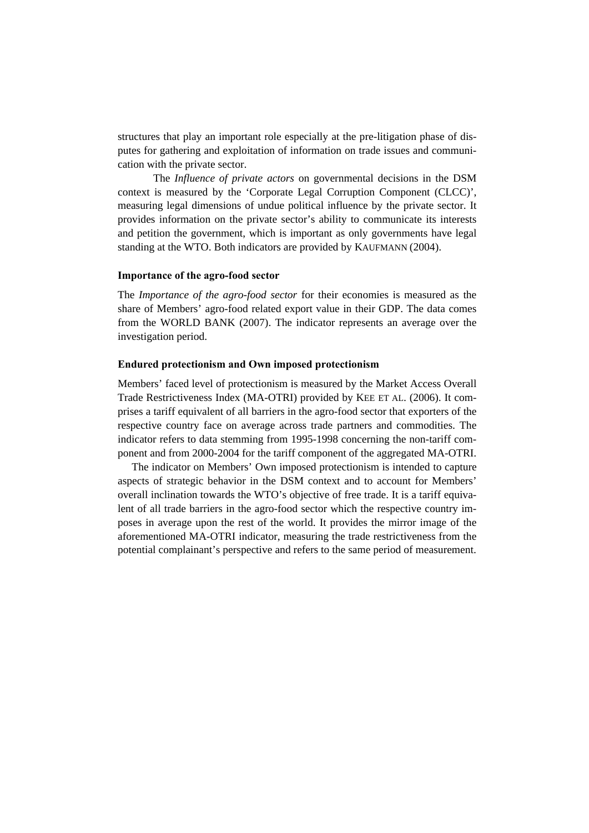structures that play an important role especially at the pre-litigation phase of disputes for gathering and exploitation of information on trade issues and communication with the private sector.

The *Influence of private actors* on governmental decisions in the DSM context is measured by the 'Corporate Legal Corruption Component (CLCC)', measuring legal dimensions of undue political influence by the private sector. It provides information on the private sector's ability to communicate its interests and petition the government, which is important as only governments have legal standing at the WTO. Both indicators are provided by KAUFMANN (2004).

# **Importance of the agro-food sector**

The *Importance of the agro-food sector* for their economies is measured as the share of Members' agro-food related export value in their GDP. The data comes from the WORLD BANK (2007). The indicator represents an average over the investigation period.

### **Endured protectionism and Own imposed protectionism**

Members' faced level of protectionism is measured by the Market Access Overall Trade Restrictiveness Index (MA-OTRI) provided by KEE ET AL. (2006). It comprises a tariff equivalent of all barriers in the agro-food sector that exporters of the respective country face on average across trade partners and commodities. The indicator refers to data stemming from 1995-1998 concerning the non-tariff component and from 2000-2004 for the tariff component of the aggregated MA-OTRI.

The indicator on Members' Own imposed protectionism is intended to capture aspects of strategic behavior in the DSM context and to account for Members' overall inclination towards the WTO's objective of free trade. It is a tariff equivalent of all trade barriers in the agro-food sector which the respective country imposes in average upon the rest of the world. It provides the mirror image of the aforementioned MA-OTRI indicator, measuring the trade restrictiveness from the potential complainant's perspective and refers to the same period of measurement.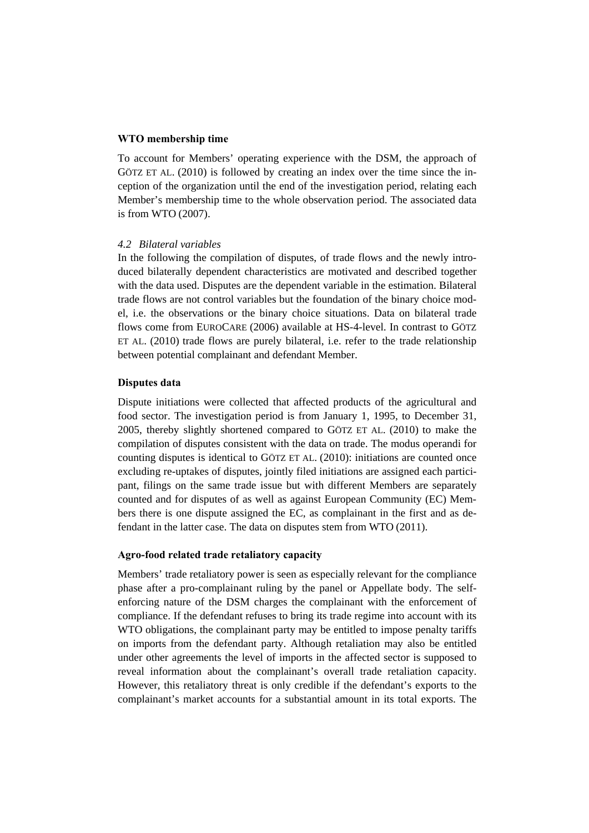#### **WTO membership time**

To account for Members' operating experience with the DSM, the approach of GÖTZ ET AL. (2010) is followed by creating an index over the time since the inception of the organization until the end of the investigation period, relating each Member's membership time to the whole observation period. The associated data is from WTO (2007).

### *4.2 Bilateral variables*

In the following the compilation of disputes, of trade flows and the newly introduced bilaterally dependent characteristics are motivated and described together with the data used. Disputes are the dependent variable in the estimation. Bilateral trade flows are not control variables but the foundation of the binary choice model, i.e. the observations or the binary choice situations. Data on bilateral trade flows come from EUROCARE (2006) available at HS-4-level. In contrast to GÖTZ ET AL. (2010) trade flows are purely bilateral, i.e. refer to the trade relationship between potential complainant and defendant Member.

#### **Disputes data**

Dispute initiations were collected that affected products of the agricultural and food sector. The investigation period is from January 1, 1995, to December 31, 2005, thereby slightly shortened compared to GÖTZ ET AL. (2010) to make the compilation of disputes consistent with the data on trade. The modus operandi for counting disputes is identical to GÖTZ ET AL. (2010): initiations are counted once excluding re-uptakes of disputes, jointly filed initiations are assigned each participant, filings on the same trade issue but with different Members are separately counted and for disputes of as well as against European Community (EC) Members there is one dispute assigned the EC, as complainant in the first and as defendant in the latter case. The data on disputes stem from WTO (2011).

#### **Agro-food related trade retaliatory capacity**

Members' trade retaliatory power is seen as especially relevant for the compliance phase after a pro-complainant ruling by the panel or Appellate body. The selfenforcing nature of the DSM charges the complainant with the enforcement of compliance. If the defendant refuses to bring its trade regime into account with its WTO obligations, the complainant party may be entitled to impose penalty tariffs on imports from the defendant party. Although retaliation may also be entitled under other agreements the level of imports in the affected sector is supposed to reveal information about the complainant's overall trade retaliation capacity. However, this retaliatory threat is only credible if the defendant's exports to the complainant's market accounts for a substantial amount in its total exports. The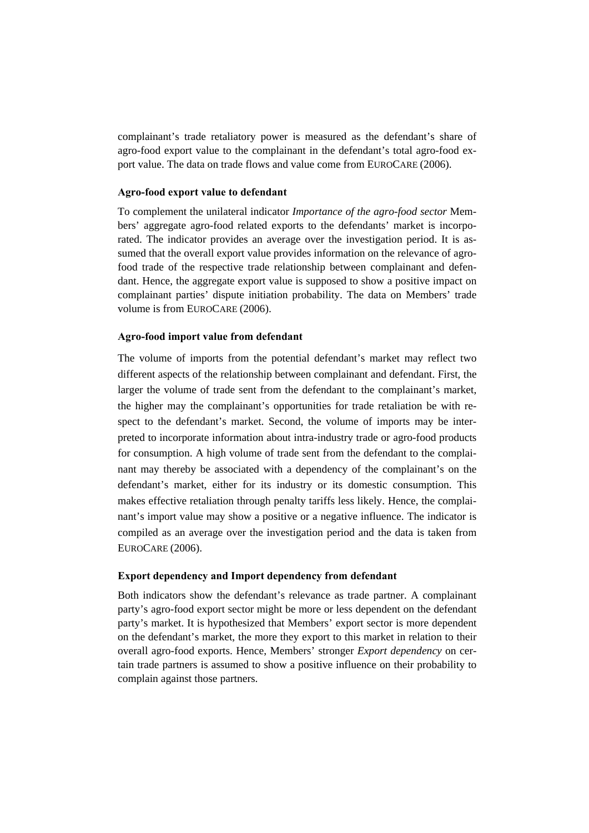complainant's trade retaliatory power is measured as the defendant's share of agro-food export value to the complainant in the defendant's total agro-food export value. The data on trade flows and value come from EUROCARE (2006).

#### **Agro-food export value to defendant**

To complement the unilateral indicator *Importance of the agro-food sector* Members' aggregate agro-food related exports to the defendants' market is incorporated. The indicator provides an average over the investigation period. It is assumed that the overall export value provides information on the relevance of agrofood trade of the respective trade relationship between complainant and defendant. Hence, the aggregate export value is supposed to show a positive impact on complainant parties' dispute initiation probability. The data on Members' trade volume is from EUROCARE (2006).

### **Agro-food import value from defendant**

The volume of imports from the potential defendant's market may reflect two different aspects of the relationship between complainant and defendant. First, the larger the volume of trade sent from the defendant to the complainant's market, the higher may the complainant's opportunities for trade retaliation be with respect to the defendant's market. Second, the volume of imports may be interpreted to incorporate information about intra-industry trade or agro-food products for consumption. A high volume of trade sent from the defendant to the complainant may thereby be associated with a dependency of the complainant's on the defendant's market, either for its industry or its domestic consumption. This makes effective retaliation through penalty tariffs less likely. Hence, the complainant's import value may show a positive or a negative influence. The indicator is compiled as an average over the investigation period and the data is taken from EUROCARE (2006).

# **Export dependency and Import dependency from defendant**

Both indicators show the defendant's relevance as trade partner. A complainant party's agro-food export sector might be more or less dependent on the defendant party's market. It is hypothesized that Members' export sector is more dependent on the defendant's market, the more they export to this market in relation to their overall agro-food exports. Hence, Members' stronger *Export dependency* on certain trade partners is assumed to show a positive influence on their probability to complain against those partners.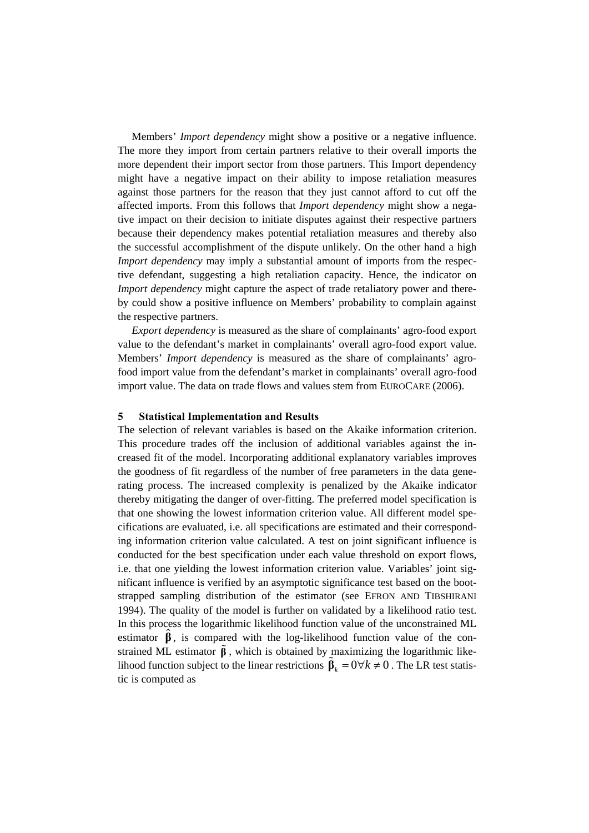Members' *Import dependency* might show a positive or a negative influence. The more they import from certain partners relative to their overall imports the more dependent their import sector from those partners. This Import dependency might have a negative impact on their ability to impose retaliation measures against those partners for the reason that they just cannot afford to cut off the affected imports. From this follows that *Import dependency* might show a negative impact on their decision to initiate disputes against their respective partners because their dependency makes potential retaliation measures and thereby also the successful accomplishment of the dispute unlikely. On the other hand a high *Import dependency* may imply a substantial amount of imports from the respective defendant, suggesting a high retaliation capacity. Hence, the indicator on *Import dependency* might capture the aspect of trade retaliatory power and thereby could show a positive influence on Members' probability to complain against the respective partners.

*Export dependency* is measured as the share of complainants' agro-food export value to the defendant's market in complainants' overall agro-food export value. Members' *Import dependency* is measured as the share of complainants' agrofood import value from the defendant's market in complainants' overall agro-food import value. The data on trade flows and values stem from EUROCARE (2006).

# **5 Statistical Implementation and Results**

The selection of relevant variables is based on the Akaike information criterion. This procedure trades off the inclusion of additional variables against the increased fit of the model. Incorporating additional explanatory variables improves the goodness of fit regardless of the number of free parameters in the data generating process. The increased complexity is penalized by the Akaike indicator thereby mitigating the danger of over-fitting. The preferred model specification is that one showing the lowest information criterion value. All different model specifications are evaluated, i.e. all specifications are estimated and their corresponding information criterion value calculated. A test on joint significant influence is conducted for the best specification under each value threshold on export flows, i.e. that one yielding the lowest information criterion value. Variables' joint significant influence is verified by an asymptotic significance test based on the bootstrapped sampling distribution of the estimator (see EFRON AND TIBSHIRANI 1994). The quality of the model is further on validated by a likelihood ratio test. In this process the logarithmic likelihood function value of the unconstrained ML estimator  $\hat{\beta}$ , is compared with the log-likelihood function value of the constrained ML estimator  $\tilde{\beta}$ , which is obtained by maximizing the logarithmic likelihood function subject to the linear restrictions  $\hat{\beta}_k = 0 \forall k \neq 0$ . The LR test statistic is computed as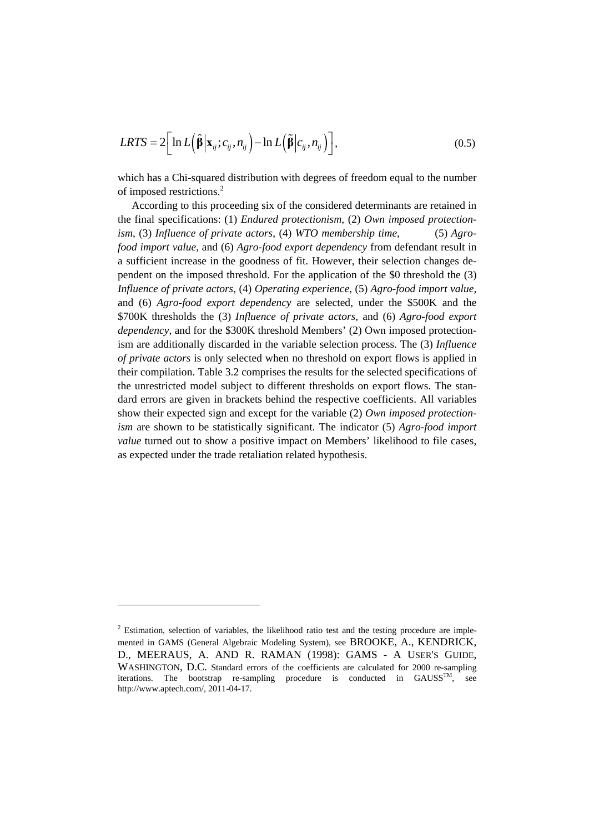$$
LRTS = 2\bigg[\ln L\big(\hat{\beta} \big| \mathbf{x}_{ij}; c_{ij}, n_{ij}\big) - \ln L\big(\tilde{\beta} \big| c_{ij}, n_{ij}\big)\bigg],\tag{0.5}
$$

which has a Chi-squared distribution with degrees of freedom equal to the number of imposed restrictions.<sup>2</sup>

According to this proceeding six of the considered determinants are retained in the final specifications: (1) *Endured protectionism*, (2) *Own imposed protectionism*, (3) *Influence of private actors*, (4) *WTO membership time*, (5) *Agrofood import value*, and (6) *Agro-food export dependency* from defendant result in a sufficient increase in the goodness of fit. However, their selection changes dependent on the imposed threshold. For the application of the \$0 threshold the (3) *Influence of private actors*, (4) *Operating experience*, (5) *Agro-food import value*, and (6) *Agro-food export dependency* are selected, under the \$500K and the \$700K thresholds the (3) *Influence of private actors*, and (6) *Agro-food export dependency*, and for the \$300K threshold Members' (2) Own imposed protectionism are additionally discarded in the variable selection process. The (3) *Influence of private actors* is only selected when no threshold on export flows is applied in their compilation. Table 3.2 comprises the results for the selected specifications of the unrestricted model subject to different thresholds on export flows. The standard errors are given in brackets behind the respective coefficients. All variables show their expected sign and except for the variable (2) *Own imposed protectionism* are shown to be statistically significant. The indicator (5) *Agro-food import value* turned out to show a positive impact on Members' likelihood to file cases, as expected under the trade retaliation related hypothesis.

l

 $2$  Estimation, selection of variables, the likelihood ratio test and the testing procedure are implemented in GAMS (General Algebraic Modeling System), see BROOKE, A., KENDRICK, D., MEERAUS, A. AND R. RAMAN (1998): GAMS - A USER'S GUIDE, WASHINGTON, D.C. Standard errors of the coefficients are calculated for 2000 re-sampling iterations. The bootstrap re-sampling procedure is conducted in  $GAUSS^{TM}$ , see http://www.aptech.com/, 2011-04-17.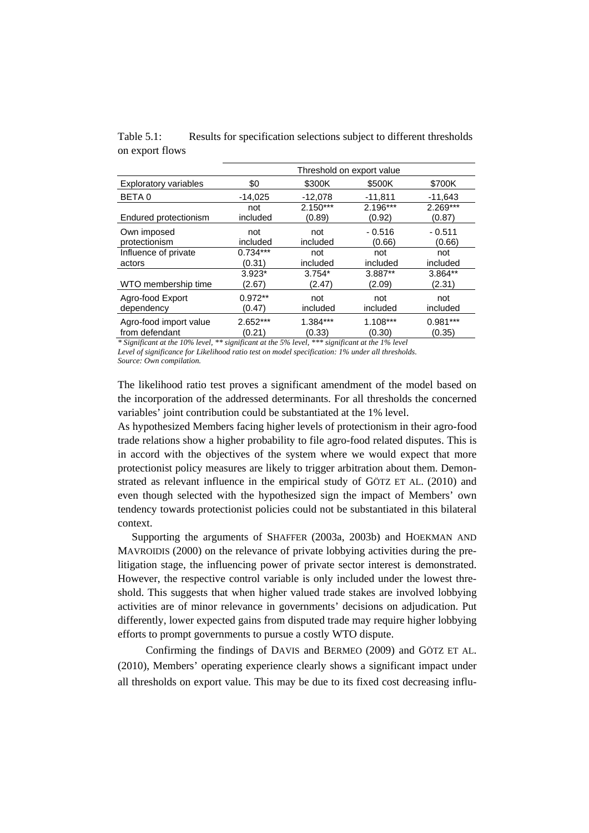Table 5.1: Results for specification selections subject to different thresholds on export flows

|                              | Threshold on export value |            |            |            |  |
|------------------------------|---------------------------|------------|------------|------------|--|
| <b>Exploratory variables</b> | \$0                       | \$300K     | \$500K     | \$700K     |  |
| BETA 0                       | $-14,025$                 | $-12,078$  | $-11,811$  | $-11,643$  |  |
| Endured protectionism        | not                       | $2.150***$ | $2.196***$ | 2.269***   |  |
|                              | included                  | (0.89)     | (0.92)     | (0.87)     |  |
| Own imposed                  | not                       | not        | $-0.516$   | $-0.511$   |  |
| protectionism                | included                  | included   | (0.66)     | (0.66)     |  |
| Influence of private         | $0.734***$                | not        | not        | not        |  |
| actors                       | (0.31)                    | included   | included   | included   |  |
| WTO membership time          | $3.923*$                  | $3.754*$   | 3.887**    | 3.864**    |  |
|                              | (2.67)                    | (2.47)     | (2.09)     | (2.31)     |  |
| Agro-food Export             | $0.972**$                 | not        | not        | not        |  |
| dependency                   | (0.47)                    | included   | included   | included   |  |
| Agro-food import value       | 2.652***                  | $1.384***$ | $1.108***$ | $0.981***$ |  |
| from defendant               | (0.21)                    | (0.33)     | (0.30)     | (0.35)     |  |

*\* Significant at the 10% level, \*\* significant at the 5% level, \*\*\* significant at the 1% level* 

*Level of significance for Likelihood ratio test on model specification: 1% under all thresholds. Source: Own compilation.* 

The likelihood ratio test proves a significant amendment of the model based on the incorporation of the addressed determinants. For all thresholds the concerned variables' joint contribution could be substantiated at the 1% level.

As hypothesized Members facing higher levels of protectionism in their agro-food trade relations show a higher probability to file agro-food related disputes. This is in accord with the objectives of the system where we would expect that more protectionist policy measures are likely to trigger arbitration about them. Demonstrated as relevant influence in the empirical study of GÖTZ ET AL. (2010) and even though selected with the hypothesized sign the impact of Members' own tendency towards protectionist policies could not be substantiated in this bilateral context.

Supporting the arguments of SHAFFER (2003a, 2003b) and HOEKMAN AND MAVROIDIS (2000) on the relevance of private lobbying activities during the prelitigation stage, the influencing power of private sector interest is demonstrated. However, the respective control variable is only included under the lowest threshold. This suggests that when higher valued trade stakes are involved lobbying activities are of minor relevance in governments' decisions on adjudication. Put differently, lower expected gains from disputed trade may require higher lobbying efforts to prompt governments to pursue a costly WTO dispute.

Confirming the findings of DAVIS and BERMEO (2009) and GÖTZ ET AL. (2010), Members' operating experience clearly shows a significant impact under all thresholds on export value. This may be due to its fixed cost decreasing influ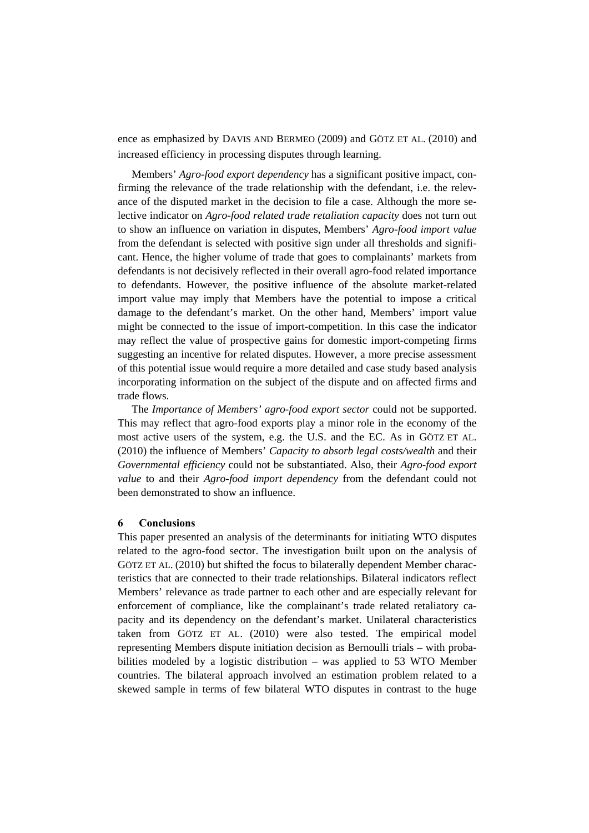ence as emphasized by DAVIS AND BERMEO (2009) and GÖTZ ET AL. (2010) and increased efficiency in processing disputes through learning.

Members' *Agro-food export dependency* has a significant positive impact, confirming the relevance of the trade relationship with the defendant, i.e. the relevance of the disputed market in the decision to file a case. Although the more selective indicator on *Agro-food related trade retaliation capacity* does not turn out to show an influence on variation in disputes, Members' *Agro-food import value* from the defendant is selected with positive sign under all thresholds and significant. Hence, the higher volume of trade that goes to complainants' markets from defendants is not decisively reflected in their overall agro-food related importance to defendants. However, the positive influence of the absolute market-related import value may imply that Members have the potential to impose a critical damage to the defendant's market. On the other hand, Members' import value might be connected to the issue of import-competition. In this case the indicator may reflect the value of prospective gains for domestic import-competing firms suggesting an incentive for related disputes. However, a more precise assessment of this potential issue would require a more detailed and case study based analysis incorporating information on the subject of the dispute and on affected firms and trade flows.

The *Importance of Members' agro-food export sector* could not be supported. This may reflect that agro-food exports play a minor role in the economy of the most active users of the system, e.g. the U.S. and the EC. As in GÖTZ ET AL. (2010) the influence of Members' *Capacity to absorb legal costs/wealth* and their *Governmental efficiency* could not be substantiated. Also, their *Agro-food export value* to and their *Agro-food import dependency* from the defendant could not been demonstrated to show an influence.

#### **6 Conclusions**

This paper presented an analysis of the determinants for initiating WTO disputes related to the agro-food sector. The investigation built upon on the analysis of GÖTZ ET AL. (2010) but shifted the focus to bilaterally dependent Member characteristics that are connected to their trade relationships. Bilateral indicators reflect Members' relevance as trade partner to each other and are especially relevant for enforcement of compliance, like the complainant's trade related retaliatory capacity and its dependency on the defendant's market. Unilateral characteristics taken from GÖTZ ET AL. (2010) were also tested. The empirical model representing Members dispute initiation decision as Bernoulli trials – with probabilities modeled by a logistic distribution – was applied to 53 WTO Member countries. The bilateral approach involved an estimation problem related to a skewed sample in terms of few bilateral WTO disputes in contrast to the huge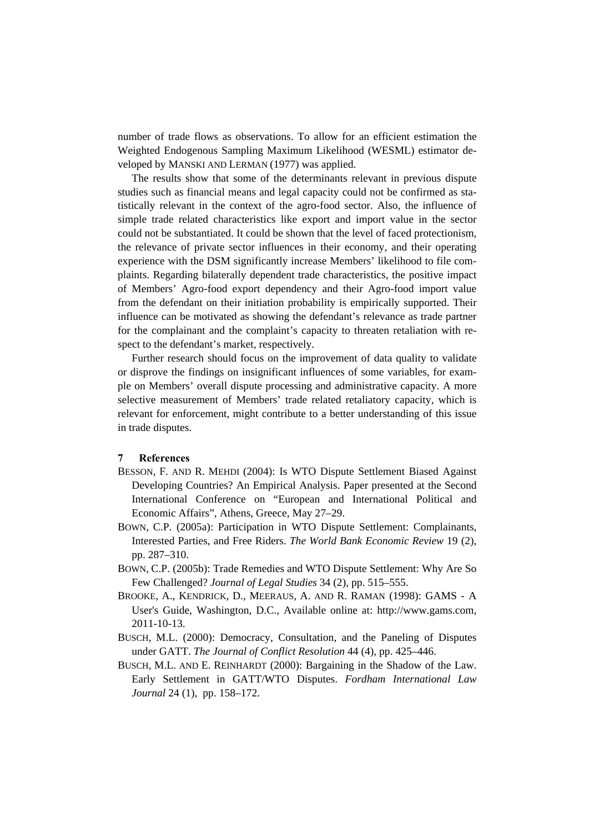number of trade flows as observations. To allow for an efficient estimation the Weighted Endogenous Sampling Maximum Likelihood (WESML) estimator developed by MANSKI AND LERMAN (1977) was applied.

The results show that some of the determinants relevant in previous dispute studies such as financial means and legal capacity could not be confirmed as statistically relevant in the context of the agro-food sector. Also, the influence of simple trade related characteristics like export and import value in the sector could not be substantiated. It could be shown that the level of faced protectionism, the relevance of private sector influences in their economy, and their operating experience with the DSM significantly increase Members' likelihood to file complaints. Regarding bilaterally dependent trade characteristics, the positive impact of Members' Agro-food export dependency and their Agro-food import value from the defendant on their initiation probability is empirically supported. Their influence can be motivated as showing the defendant's relevance as trade partner for the complainant and the complaint's capacity to threaten retaliation with respect to the defendant's market, respectively.

Further research should focus on the improvement of data quality to validate or disprove the findings on insignificant influences of some variables, for example on Members' overall dispute processing and administrative capacity. A more selective measurement of Members' trade related retaliatory capacity, which is relevant for enforcement, might contribute to a better understanding of this issue in trade disputes.

#### **7 References**

- BESSON, F. AND R. MEHDI (2004): Is WTO Dispute Settlement Biased Against Developing Countries? An Empirical Analysis. Paper presented at the Second International Conference on "European and International Political and Economic Affairs", Athens, Greece, May 27–29.
- BOWN, C.P. (2005a): Participation in WTO Dispute Settlement: Complainants, Interested Parties, and Free Riders. *The World Bank Economic Review* 19 (2), pp. 287–310.
- BOWN, C.P. (2005b): Trade Remedies and WTO Dispute Settlement: Why Are So Few Challenged? *Journal of Legal Studies* 34 (2), pp. 515–555.
- BROOKE, A., KENDRICK, D., MEERAUS, A. AND R. RAMAN (1998): GAMS A User's Guide, Washington, D.C., Available online at: http://www.gams.com, 2011-10-13.
- BUSCH, M.L. (2000): Democracy, Consultation, and the Paneling of Disputes under GATT. *The Journal of Conflict Resolution* 44 (4), pp. 425–446.
- BUSCH, M.L. AND E. REINHARDT (2000): Bargaining in the Shadow of the Law. Early Settlement in GATT/WTO Disputes. *Fordham International Law Journal* 24 (1), pp. 158–172.